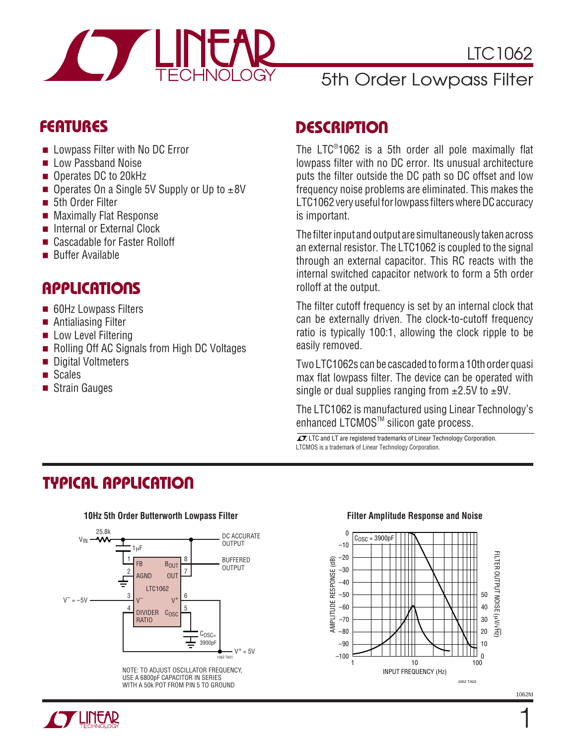

# 5th Order Lowpass Filter

- Lowpass Filter with No DC Error
- Low Passband Noise
- Operates DC to 20kHz
- Operates On a Single 5V Supply or Up to  $±8V$
- 5th Order Filter
- Maximally Flat Response
- Internal or External Clock
- Cascadable for Faster Rolloff
- Buffer Available

#### **APPLICATIONS**

- 60Hz Lowpass Filters
- Antialiasing Filter
- Low Level Filtering
- Rolling Off AC Signals from High DC Voltages
- Digital Voltmeters
- Scales
- Strain Gauges

#### **FEATURES DESCRIPTIO <sup>U</sup>**

The LTC® 1062 is a 5th order all pole maximally flat lowpass filter with no DC error. Its unusual architecture puts the filter outside the DC path so DC offset and low frequency noise problems are eliminated. This makes the LTC1062 very useful for lowpass filters where DC accuracy is important.

The filter input and output are simultaneously taken across an external resistor. The LTC1062 is coupled to the signal through an external capacitor. This RC reacts with the internal switched capacitor network to form a 5th order rolloff at the output.

The filter cutoff frequency is set by an internal clock that can be externally driven. The clock-to-cutoff frequency ratio is typically 100:1, allowing the clock ripple to be easily removed.

Two LTC1062s can be cascaded to form a 10th order quasi max flat lowpass filter. The device can be operated with single or dual supplies ranging from  $\pm 2.5V$  to  $\pm 9V$ .

The LTC1062 is manufactured using Linear Technology's enhanced LTCMOS™ silicon gate process.

LTCMOS is a trademark of Linear Technology Corporation.  $\sqrt{J}$ , LTC and LT are registered trademarks of Linear Technology Corporation.

### **TYPICAL APPLICATION**



NOTE: TO ADJUST OSCILLATOR FREQUENCY, USE A 6800pF CAPACITOR IN SERIES WITH A 50k POT FROM PIN 5 TO GROUND

#### **10Hz 5th Order Butterworth Lowpass Filter Filter Amplitude Response and Noise**



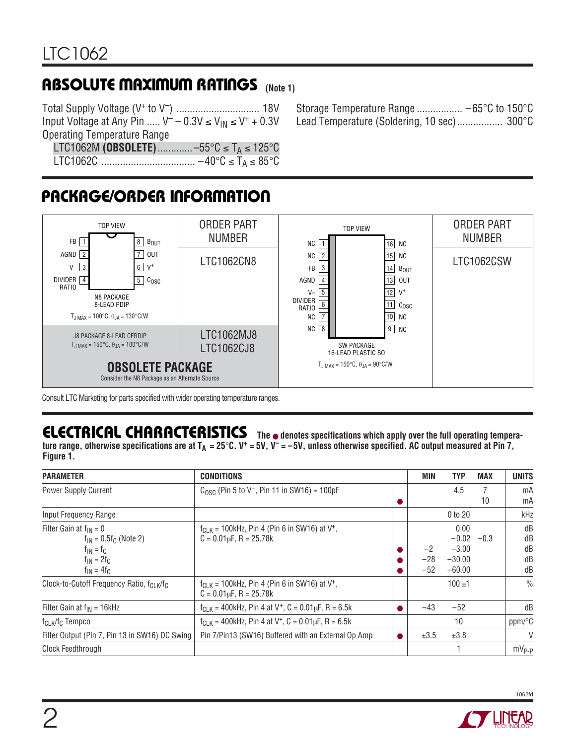# **ABSOLUTE MAXIMUM RATINGS** (Note 1)

Total Supply Voltage (V+ to V–) ............................... 18V Input Voltage at Any Pin .....  $V^- - 0.3V \leq V_{IN} \leq V^+ + 0.3V$ Operating Temperature Range

Storage Temperature Range ................. –65°C to 150°C Lead Temperature (Soldering, 10 sec)................. 300°C

LTC1062M **(OBSOLETE)**............. –55°C ≤ TA ≤ 125°C LTC1062C ................................... –40°C ≤ TA ≤ 85°C

# **PACKAGE/ORDER INFORMATION**



Consult LTC Marketing for parts specified with wider operating temperature ranges.

# **ELECTRICAL CHARACTERISTICS**

**The** ● **denotes specifications which apply over the full operating tempera**ture range, otherwise specifications are at  $T_A = 25^\circ C$ . V<sup>+</sup> = 5V, V<sup>-</sup> = -5V, unless otherwise specified. AC output measured at Pin 7, **Figure 1.**

| <b>PARAMETER</b>                                                                                                     | <b>CONDITIONS</b>                                                                              | MIN                    | <b>TYP</b>                                         | <b>MAX</b> | <b>UNITS</b>               |
|----------------------------------------------------------------------------------------------------------------------|------------------------------------------------------------------------------------------------|------------------------|----------------------------------------------------|------------|----------------------------|
| <b>Power Supply Current</b>                                                                                          | $C_{\text{OSC}}$ (Pin 5 to V <sup>-</sup> , Pin 11 in SW16) = 100pF                            |                        | 4.5                                                | 7<br>10    | mA<br>mA                   |
| Input Frequency Range                                                                                                |                                                                                                |                        | 0 to 20                                            |            | kHz                        |
| Filter Gain at $f_{IN} = 0$<br>$f_{IN} = 0.5 f_{C}$ (Note 2)<br>$f_{IN} = f_C$<br>$f_{IN} = 2f_C$<br>$f_{IN} = 4f_C$ | $f_{CLK}$ = 100kHz, Pin 4 (Pin 6 in SW16) at V <sup>+</sup> ,<br>$C = 0.01 \mu F$ , R = 25.78k | $-2$<br>$-28$<br>$-52$ | 0.00<br>$-0.02$<br>$-3.00$<br>$-30.00$<br>$-60.00$ | $-0.3$     | dB<br>dB<br>dB<br>dB<br>dB |
| Clock-to-Cutoff Frequency Ratio, fcl K/fc                                                                            | $f_{CLK}$ = 100kHz, Pin 4 (Pin 6 in SW16) at V <sup>+</sup> ,<br>$C = 0.01 \mu F$ , R = 25.78k |                        | $100 + 1$                                          |            | $\frac{0}{0}$              |
| Filter Gain at $f_{IN} = 16kHz$                                                                                      | $f_{\text{CI K}}$ = 400kHz, Pin 4 at V <sup>+</sup> , C = 0.01 <sub>k</sub> F, R = 6.5k        | -43                    | $-52$                                              |            | dB                         |
| f <sub>CLK</sub> /f <sub>C</sub> Tempco                                                                              | $f_{CLK}$ = 400kHz, Pin 4 at V <sup>+</sup> , C = 0.01 $\mu$ F, R = 6.5k                       |                        | 10                                                 |            | ppm/°C                     |
| Filter Output (Pin 7, Pin 13 in SW16) DC Swing                                                                       | Pin 7/Pin13 (SW16) Buffered with an External Op Amp                                            | $\pm 3.5$              | ±3.8                                               |            | $\vee$                     |
| Clock Feedthrough                                                                                                    |                                                                                                |                        |                                                    |            | $mV_{P-P}$                 |

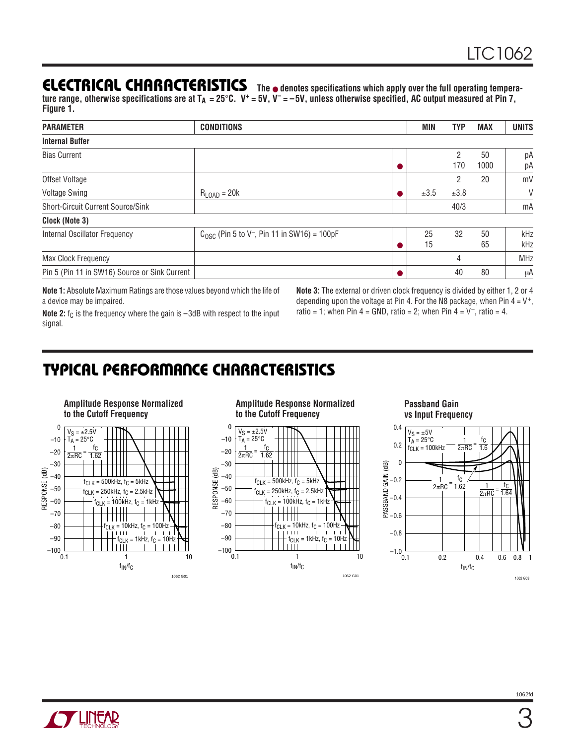#### **ELECTRICAL CHARACTERISTICS**

**The** ● **denotes specifications which apply over the full operating temperature range, otherwise specifications are at TA = 25**°**C. V+ = 5V, V– = –5V, unless otherwise specified, AC output measured at Pin 7, Figure 1.**

| <b>PARAMETER</b>                              | <b>CONDITIONS</b>                                                   | MIN       | TYP  | <b>MAX</b> | <b>UNITS</b> |
|-----------------------------------------------|---------------------------------------------------------------------|-----------|------|------------|--------------|
| <b>Internal Buffer</b>                        |                                                                     |           |      |            |              |
| <b>Bias Current</b>                           |                                                                     |           | 2    | 50         | рA           |
|                                               |                                                                     |           | 170  | 1000       | рA           |
| Offset Voltage                                |                                                                     |           | 2    | 20         | mV           |
| <b>Voltage Swing</b>                          | $R_{\text{LOAD}} = 20k$                                             | $\pm 3.5$ | ±3.8 |            | V            |
| Short-Circuit Current Source/Sink             |                                                                     |           | 40/3 |            | mA           |
| Clock (Note 3)                                |                                                                     |           |      |            |              |
| Internal Oscillator Frequency                 | $C_{\text{OSC}}$ (Pin 5 to V <sup>-</sup> , Pin 11 in SW16) = 100pF | 25        | 32   | 50         | kHz          |
|                                               |                                                                     | 15        |      | 65         | kHz          |
| Max Clock Frequency                           |                                                                     |           | 4    |            | <b>MHz</b>   |
| Pin 5 (Pin 11 in SW16) Source or Sink Current |                                                                     |           | 40   | 80         | μA           |

**Note 1:** Absolute Maximum Ratings are those values beyond which the life of a device may be impaired.

**Note 2:** f<sub>C</sub> is the frequency where the gain is -3dB with respect to the input signal.

**Note 3:** The external or driven clock frequency is divided by either 1, 2 or 4 depending upon the voltage at Pin 4. For the N8 package, when Pin  $4 = V^+$ , ratio = 1; when Pin  $4 =$  GND, ratio = 2; when Pin  $4 = V^-$ , ratio = 4.

### **TYPICAL PERFORMANCE CHARACTERISTICS**



**Amplitude Response Normalized to the Cutoff Frequency**



#### **Passband Gain vs Input Frequency**



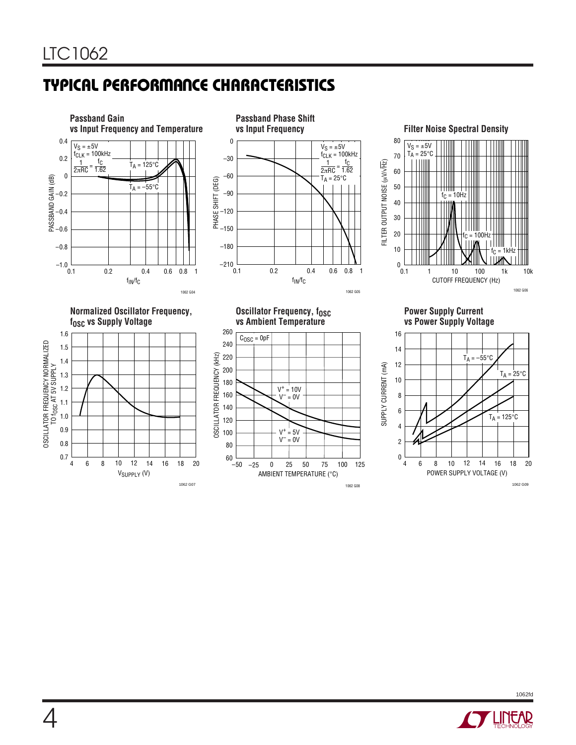# **TYPICAL PERFORMANCE CHARACTERISTICS**



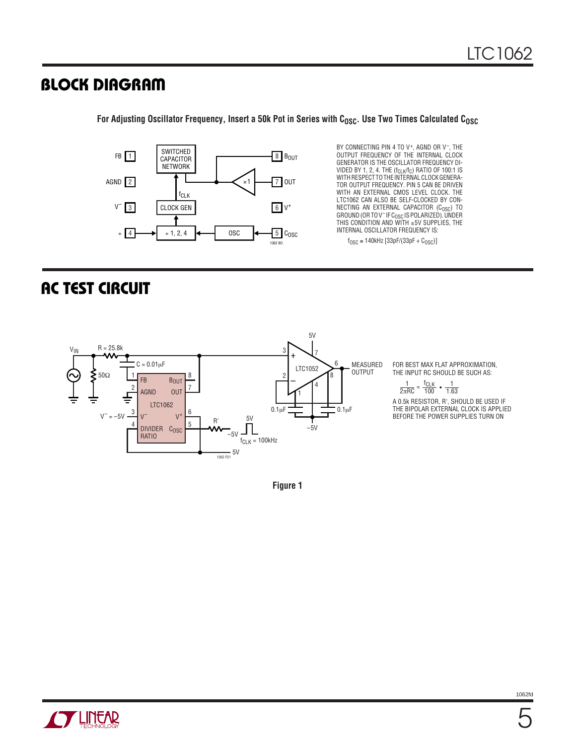#### **BLOCK DIAGRAM**

8 BOUT 7 OUT  $6$  V<sup>+</sup>  $5$   $C_{\text{OSC}}$ 1 FB 2 AGND  $V^-$  3 4 ÷ SWITCHED CAPACITOR NETWORK CLOCK GEN  $\div$  1, 2, 4  $\leftrightarrow$  0SC 1062 BD fCLK ×1

BY CONNECTING PIN 4 TO V<sup>+</sup>, AGND OR V<sup>-</sup>, THE OUTPUT FREQUENCY OF THE INTERNAL CLOCK GENERATOR IS THE OSCILLATOR FREQUENCY DI-VIDED BY 1, 2, 4. THE (f<sub>CLK</sub>/f<sub>C</sub>) RATIO OF 100:1 IS<br>WITH RESPECT TO THE INTERNAL CLOCK GENERA-TOR OUTPUT FREQUENCY. PIN 5 CAN BE DRIVEN WITH AN EXTERNAL CMOS LEVEL CLOCK. THE LTC1062 CAN ALSO BE SELF-CLOCKED BY CON-NECTING AN EXTERNAL CAPACITOR (C<sub>OSC</sub>) TO<br>GROUND(ORTOV<sup>-</sup>IFC<sub>OSC</sub>ISPOLARIZED).UNDER THIS CONDITION AND WITH ±5V SUPPLIES, THE INTERNAL OSCILLATOR FREQUENCY IS:

 $f_{\text{OSC}} \approx 140$ kHz [33pF/(33pF + C<sub>OSC</sub>)]

#### **AC TEST CIRCUIT**



FOR BEST MAX FLAT APPROXIMATION, THE INPUT RC SHOULD BE SUCH AS:

> 1 2πRC 1  $=\frac{f_{CLK}}{100}$  •  $\frac{1}{1.63}$

A 0.5k RESISTOR, R′, SHOULD BE USED IF THE BIPOLAR EXTERNAL CLOCK IS APPLIED BEFORE THE POWER SUPPLIES TURN ON

**Figure 1**

For Adjusting Oscillator Frequency, Insert a 50k Pot in Series with C<sub>OSC</sub>. Use Two Times Calculated C<sub>OSC</sub>

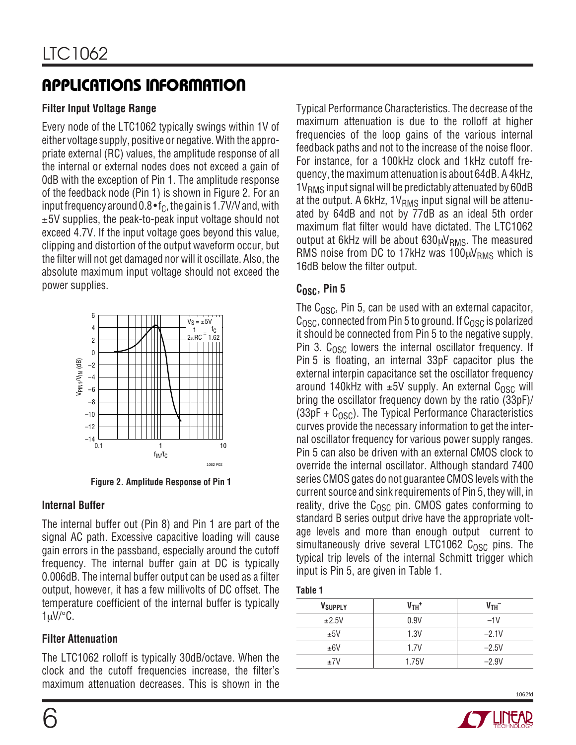# **APPLICATIONS INFORMATION**

#### **Filter Input Voltage Range**

Every node of the LTC1062 typically swings within 1V of either voltage supply, positive or negative. With the appropriate external (RC) values, the amplitude response of all the internal or external nodes does not exceed a gain of 0dB with the exception of Pin 1. The amplitude response of the feedback node (Pin 1) is shown in Figure 2. For an input frequency around  $0.8 \cdot f_C$ , the gain is 1.7V/V and, with  $±5V$  supplies, the peak-to-peak input voltage should not exceed 4.7V. If the input voltage goes beyond this value, clipping and distortion of the output waveform occur, but the filter will not get damaged nor will it oscillate. Also, the absolute maximum input voltage should not exceed the power supplies.



**Figure 2. Amplitude Response of Pin 1**

#### **Internal Buffer**

The internal buffer out (Pin 8) and Pin 1 are part of the signal AC path. Excessive capacitive loading will cause gain errors in the passband, especially around the cutoff frequency. The internal buffer gain at DC is typically 0.006dB. The internal buffer output can be used as a filter output, however, it has a few millivolts of DC offset. The temperature coefficient of the internal buffer is typically  $1 \mu V$ <sup>o</sup>C.

#### **Filter Attenuation**

The LTC1062 rolloff is typically 30dB/octave. When the clock and the cutoff frequencies increase, the filter's maximum attenuation decreases. This is shown in the

Typical Performance Characteristics. The decrease of the maximum attenuation is due to the rolloff at higher frequencies of the loop gains of the various internal feedback paths and not to the increase of the noise floor. For instance, for a 100kHz clock and 1kHz cutoff frequency, the maximum attenuation is about 64dB. A 4kHz,  $1V<sub>RMS</sub>$  input signal will be predictably attenuated by 60dB at the output. A 6kHz,  $1V<sub>RMS</sub>$  input signal will be attenuated by 64dB and not by 77dB as an ideal 5th order maximum flat filter would have dictated. The LTC1062 output at 6kHz will be about  $630 \mu V_{RMS}$ . The measured RMS noise from DC to 17kHz was  $100 \mu V_{RMS}$  which is 16dB below the filter output.

#### C<sub>OSC</sub>, Pin 5

The  $C<sub>OSC</sub>$ , Pin 5, can be used with an external capacitor,  $C<sub>OSC</sub>$ , connected from Pin 5 to ground. If  $C<sub>OSC</sub>$  is polarized it should be connected from Pin 5 to the negative supply, Pin 3.  $C<sub>OSC</sub>$  lowers the internal oscillator frequency. If Pin 5 is floating, an internal 33pF capacitor plus the external interpin capacitance set the oscillator frequency around 140kHz with  $\pm 5V$  supply. An external C<sub>OSC</sub> will bring the oscillator frequency down by the ratio (33pF)/  $(33pF + C<sub>OSC</sub>)$ . The Typical Performance Characteristics curves provide the necessary information to get the internal oscillator frequency for various power supply ranges. Pin 5 can also be driven with an external CMOS clock to override the internal oscillator. Although standard 7400 series CMOS gates do not guarantee CMOS levels with the current source and sink requirements of Pin 5, they will, in reality, drive the  $C<sub>OSC</sub>$  pin. CMOS gates conforming to standard B series output drive have the appropriate voltage levels and more than enough output current to simultaneously drive several LTC1062  $C_{OSC}$  pins. The typical trip levels of the internal Schmitt trigger which input is Pin 5, are given in Table 1.

#### **Table 1**

| V <sub>SUPPLY</sub> | $VTH$ + | V <sub>TH</sub> |
|---------------------|---------|-----------------|
| ±2.5V               | 0.9V    | $-1V$           |
| ±5V                 | 1.3V    | $-2.1V$         |
| ±6V                 | 1.7V    | $-2.5V$         |
| ±7V                 | 1.75V   | $-2.9V$         |

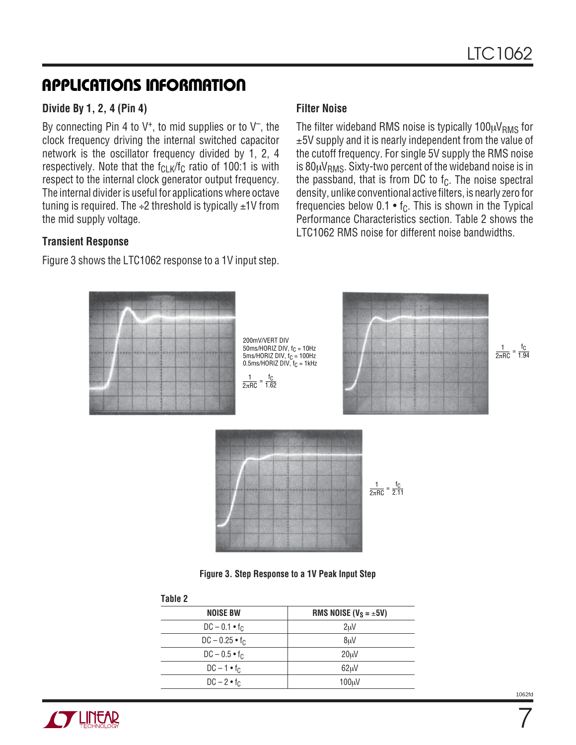### **APPLICATIONS INFORMATION**

#### **Divide By 1, 2, 4 (Pin 4)**

By connecting Pin 4 to  $V^+$ , to mid supplies or to  $V^-$ , the clock frequency driving the internal switched capacitor network is the oscillator frequency divided by 1, 2, 4 respectively. Note that the  $f_{CLK}/f_C$  ratio of 100:1 is with respect to the internal clock generator output frequency. The internal divider is useful for applications where octave tuning is required. The  $\div 2$  threshold is typically  $\pm 1$  Y from the mid supply voltage.

#### **Transient Response**

Figure 3 shows the LTC1062 response to a 1V input step.

#### **Filter Noise**

The filter wideband RMS noise is typically  $100 \mu V_{RMS}$  for ±5V supply and it is nearly independent from the value of the cutoff frequency. For single 5V supply the RMS noise is  $80\mu V_{RMS}$ . Sixty-two percent of the wideband noise is in the passband, that is from DC to  $f_C$ . The noise spectral density, unlike conventional active filters, is nearly zero for frequencies below  $0.1 \cdot f_C$ . This is shown in the Typical Performance Characteristics section. Table 2 shows the LTC1062 RMS noise for different noise bandwidths.



| <b>NOISE BW</b>       | RMS NOISE ( $V_S = \pm 5V$ ) |
|-----------------------|------------------------------|
| $DC - 0.1 \cdot f_C$  | 2 <sub>u</sub> V             |
| $DC - 0.25 \cdot f_C$ | 8uV                          |
| $DC - 0.5 \cdot f_C$  | 20 <sub>u</sub>              |
| $DC - 1 \cdot f_C$    | 62uV                         |
| $DC - 2 \cdot f_C$    | 100 <sub>u</sub> V           |
|                       |                              |



7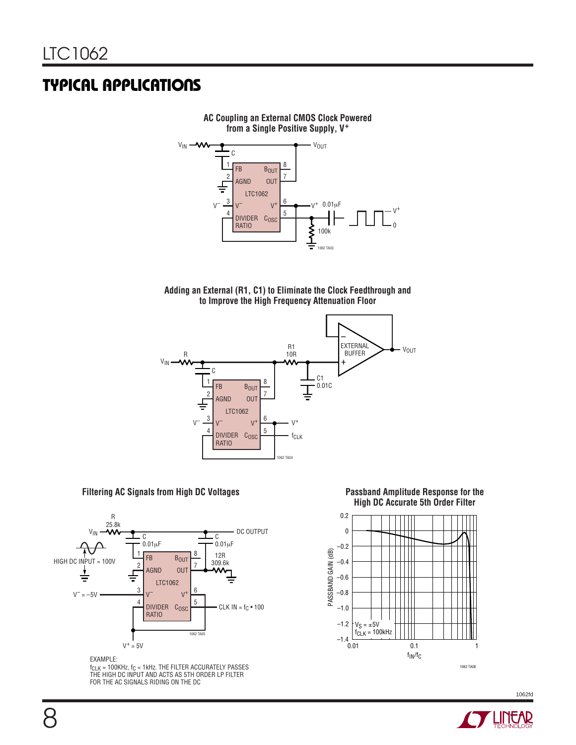







#### **Filtering AC Signals from High DC Voltages**



EXAMPLE:

 $f_{CLK}$  = 100KHz,  $f_C$  = 1kHz. THE FILTER ACCURATELY PASSES THE HIGH DC INPUT AND ACTS AS 5TH ORDER LP FILTER FOR THE AC SIGNALS RIDING ON THE DC



1062 TA06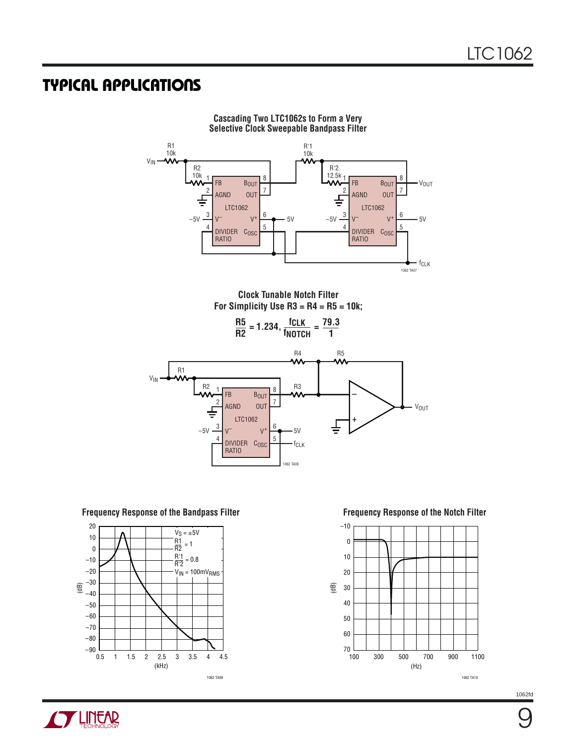

**Cascading Two LTC1062s to Form a Very Selective Clock Sweepable Bandpass Filter**



**Frequency Response of the Bandpass Filter**



**Frequency Response of the Notch Filter**



**CY LINEAR** 

**g**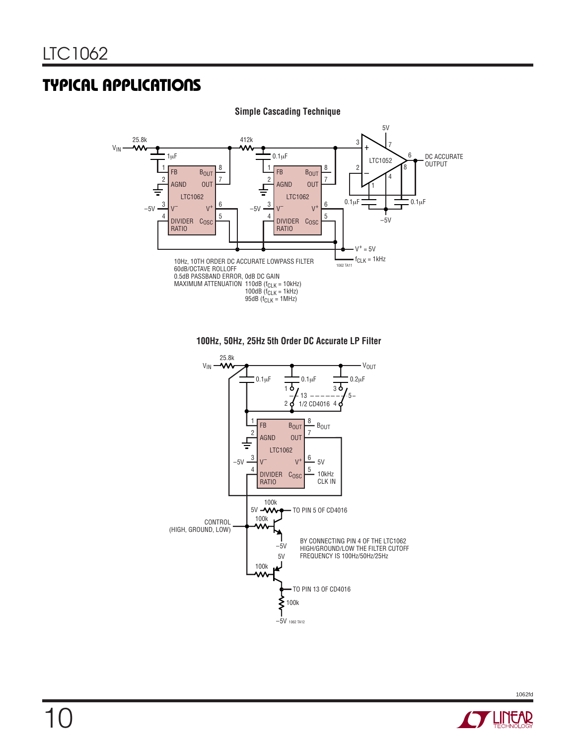

#### **Simple Cascading Technique**





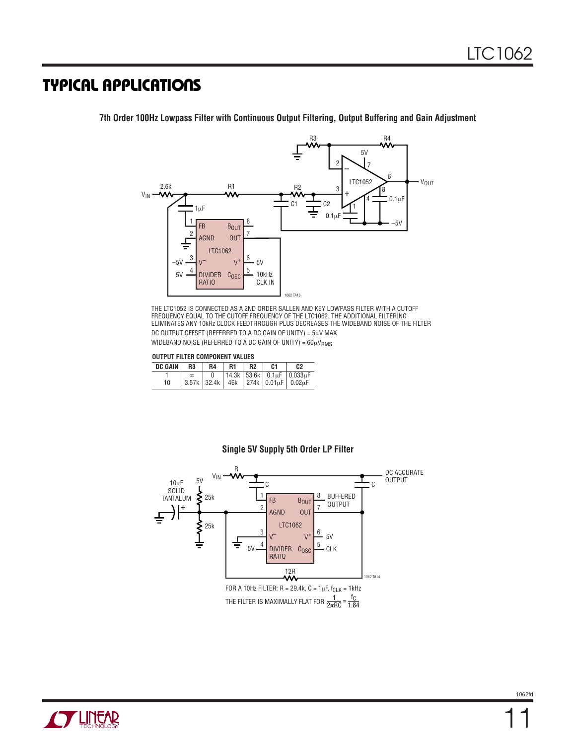FB AGND V– DIVIDER C<sub>OSC</sub> RATIO BOUT OUT  $V^+$ 1 2 3 4 8 7 6 5 LTC1062 1µF  $\rm V_{IN}$ 2.6k –5V 5V 5V 1062 TA13 10kHz CLK IN R<sub>1</sub> – + 3  $0.1<sub>\mu</sub>F$  $0.1<sub>µ</sub>F$ V<sub>OUT</sub>  $2 \sum 7$ 5V 6 8 4  $C<sub>2</sub>$ –5V C1 R3 R4 R2 LTC1052

**7th Order 100Hz Lowpass Filter with Continuous Output Filtering, Output Buffering and Gain Adjustment**

THE LTC1052 IS CONNECTED AS A 2ND ORDER SALLEN AND KEY LOWPASS FILTER WITH A CUTOFF FREQUENCY EQUAL TO THE CUTOFF FREQUENCY OF THE LTC1062. THE ADDITIONAL FILTERING ELIMINATES ANY 10kHz CLOCK FEEDTHROUGH PLUS DECREASES THE WIDEBAND NOISE OF THE FILTER DC OUTPUT OFFSET (REFERRED TO A DC GAIN OF UNITY) = 5µV MAX

WIDEBAND NOISE (REFERRED TO A DC GAIN OF UNITY) =  $60 \mu V_{RMS}$ 

#### **OUTPUT FILTER COMPONENT VALUES**

| <b>DC GAIN</b> | R3    | R4 | R1 | R <sub>2</sub> | C1 | C2                                       |
|----------------|-------|----|----|----------------|----|------------------------------------------|
|                |       |    |    |                |    | 14.3k   53.6k   0.1uF   0.033uF          |
| 10             | 3.57k |    |    |                |    | .   32.4k   46k   274k   0.01µF   0.02µF |



#### **Single 5V Supply 5th Order LP Filter**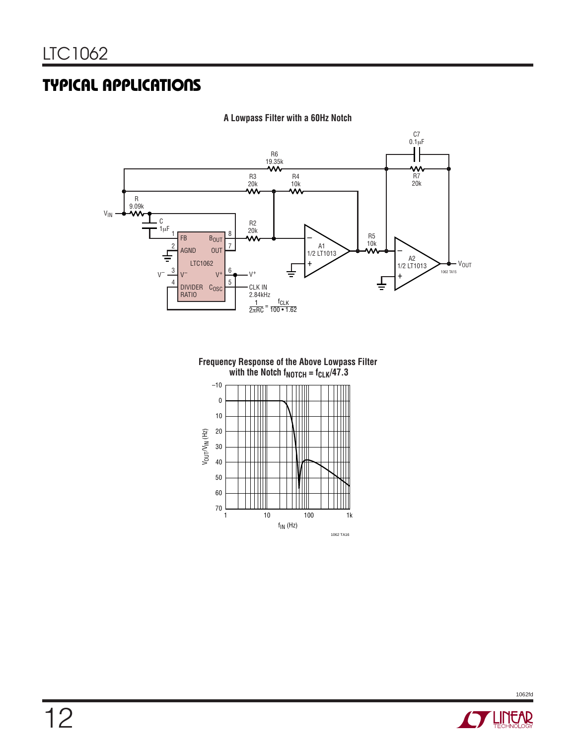

**A Lowpass Filter with a 60Hz Notch**

**Frequency Response of the Above Lowpass Filter** with the Notch  $f_{\text{NOTCH}} = f_{\text{CLK}}/47.3$ 



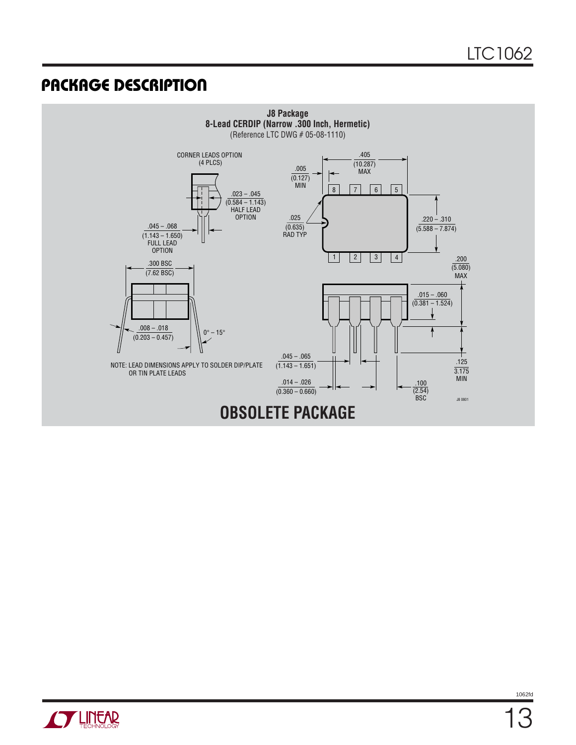### **U PACKAGE DESCRIPTIO**



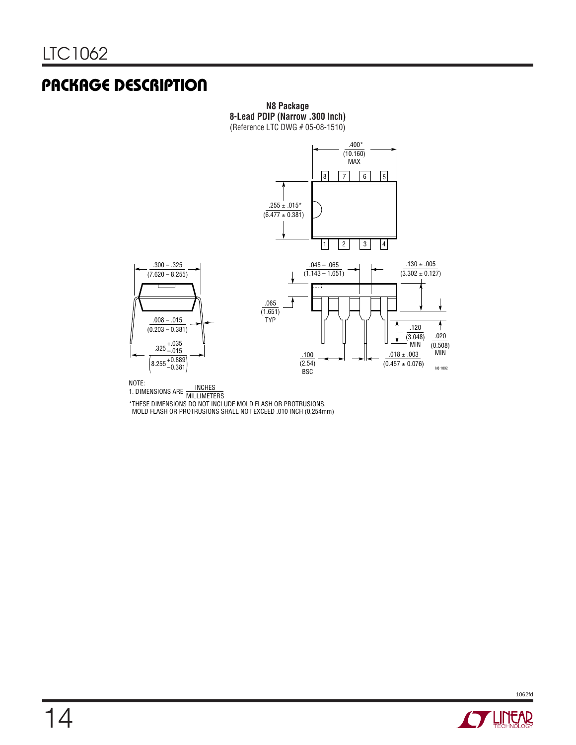### **U PACKAGE DESCRIPTIO**



**N8 Package**

NOTE: 1. DIMENSIONS ARE INCHES MILLIMETERS

\*THESE DIMENSIONS DO NOT INCLUDE MOLD FLASH OR PROTRUSIONS. MOLD FLASH OR PROTRUSIONS SHALL NOT EXCEED .010 INCH (0.254mm)

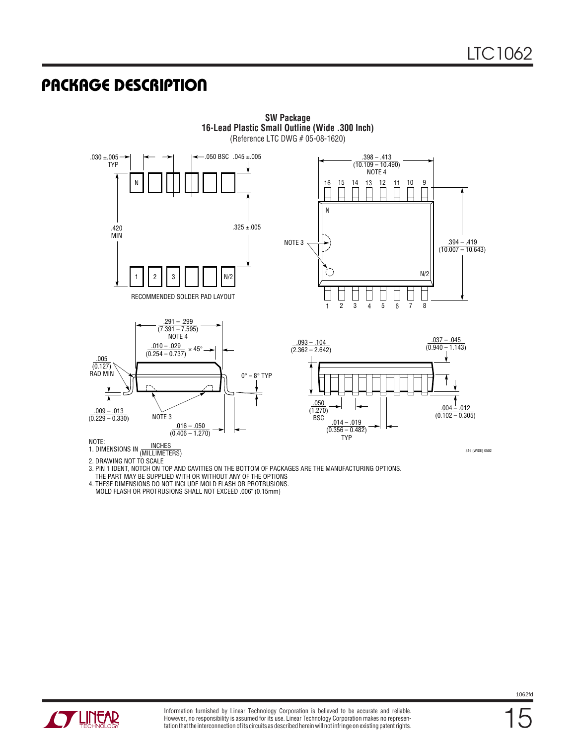#### **U PACKAGE DESCRIPTIO**



3. PIN 1 IDENT, NOTCH ON TOP AND CAVITIES ON THE BOTTOM OF PACKAGES ARE THE MANUFACTURING OPTIONS.

 THE PART MAY BE SUPPLIED WITH OR WITHOUT ANY OF THE OPTIONS 4. THESE DIMENSIONS DO NOT INCLUDE MOLD FLASH OR PROTRUSIONS.

MOLD FLASH OR PROTRUSIONS SHALL NOT EXCEED .006" (0.15mm)



15